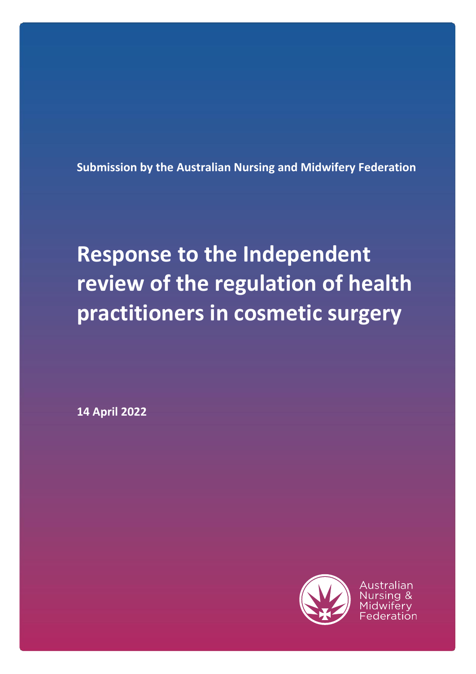**Submission by the Australian Nursing and Midwifery Federation**

# **Response to the Independent review of the regulation of health practitioners in cosmetic surgery**

**14 April 2022**



Australian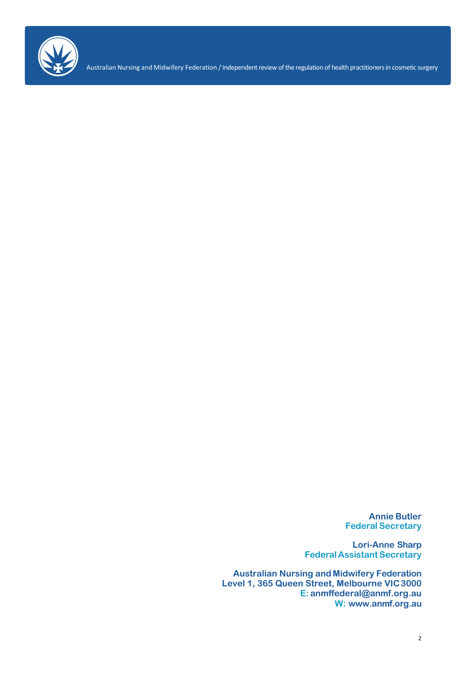

Australian Nursing and Midwifery Federation / Independent review of the regulation of health practitioners in cosmetic surgery

**Annie Butler Federal Secretary**

**Lori-Anne Sharp Federal Assistant Secretary**

**Australian Nursing and Midwifery Federation Level 1, 365 Queen Street, Melbourne VIC3000 E: [anmffederal@anmf.org.au](mailto:anmffederal@anmf.org.au) W: [www.anmf.org.au](http://www.anmf.org.au/)**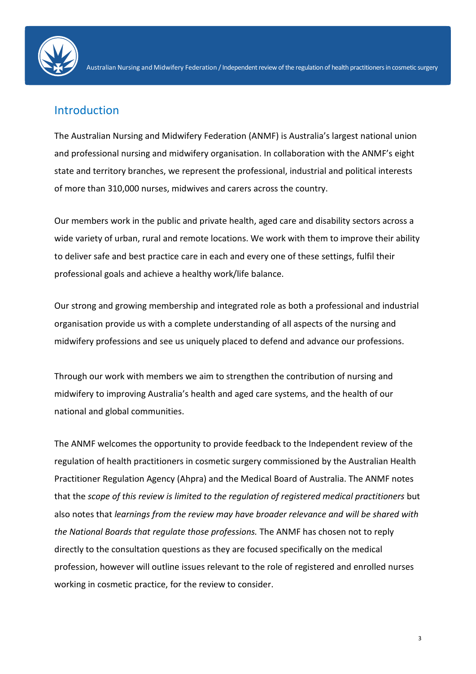

## Introduction

The Australian Nursing and Midwifery Federation (ANMF) is Australia's largest national union and professional nursing and midwifery organisation. In collaboration with the ANMF's eight state and territory branches, we represent the professional, industrial and political interests of more than 310,000 nurses, midwives and carers across the country.

Our members work in the public and private health, aged care and disability sectors across a wide variety of urban, rural and remote locations. We work with them to improve their ability to deliver safe and best practice care in each and every one of these settings, fulfil their professional goals and achieve a healthy work/life balance.

Our strong and growing membership and integrated role as both a professional and industrial organisation provide us with a complete understanding of all aspects of the nursing and midwifery professions and see us uniquely placed to defend and advance our professions.

Through our work with members we aim to strengthen the contribution of nursing and midwifery to improving Australia's health and aged care systems, and the health of our national and global communities.

The ANMF welcomes the opportunity to provide feedback to the Independent review of the regulation of health practitioners in cosmetic surgery commissioned by the Australian Health Practitioner Regulation Agency (Ahpra) and the Medical Board of Australia. The ANMF notes that the *scope of this review is limited to the regulation of registered medical practitioners* but also notes that *learnings from the review may have broader relevance and will be shared with the National Boards that regulate those professions.* The ANMF has chosen not to reply directly to the consultation questions as they are focused specifically on the medical profession, however will outline issues relevant to the role of registered and enrolled nurses working in cosmetic practice, for the review to consider.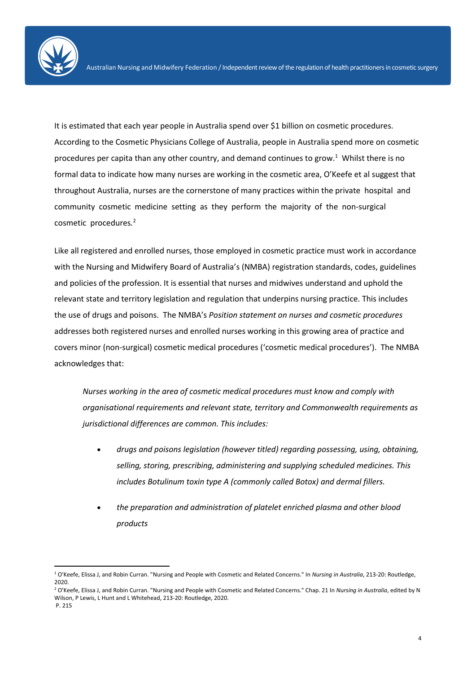It is estimated that each year people in Australia spend over \$1 billion on cosmetic procedures. According to the Cosmetic Physicians College of Australia, people in Australia spend more on cosmetic procedures per capita than any other country, and demand continues to grow.<sup>1</sup> Whilst there is no formal data to indicate how many nurses are working in the cosmetic area, O'Keefe et al suggest that throughout Australia, nurses are the cornerstone of many practices within the private hospital and community cosmetic medicine setting as they perform the majority of the non-surgical cosmetic procedures*.* 2

Like all registered and enrolled nurses, those employed in cosmetic practice must work in accordance with the Nursing and Midwifery Board of Australia's (NMBA) registration standards, codes, guidelines and policies of the profession. It is essential that nurses and midwives understand and uphold the relevant state and territory legislation and regulation that underpins nursing practice. This includes the use of drugs and poisons. The NMBA's *Position statement on nurses and cosmetic procedures* addresses both registered nurses and enrolled nurses working in this growing area of practice and covers minor (non-surgical) cosmetic medical procedures ('cosmetic medical procedures'). The NMBA acknowledges that:

*Nurses working in the area of cosmetic medical procedures must know and comply with organisational requirements and relevant state, territory and Commonwealth requirements as jurisdictional differences are common. This includes:*

- *drugs and poisons legislation (however titled) regarding possessing, using, obtaining, selling, storing, prescribing, administering and supplying scheduled medicines. This includes Botulinum toxin type A (commonly called Botox) and dermal fillers.*
- *the preparation and administration of platelet enriched plasma and other blood products*

 $\overline{a}$ 

<sup>1</sup> O'Keefe, Elissa J, and Robin Curran. "Nursing and People with Cosmetic and Related Concerns." In *Nursing in Australia*, 213-20: Routledge, 2020.

<sup>2</sup> O'Keefe, Elissa J, and Robin Curran. "Nursing and People with Cosmetic and Related Concerns." Chap. 21 In *Nursing in Australia*, edited by N Wilson, P Lewis, L Hunt and L Whitehead, 213-20: Routledge, 2020.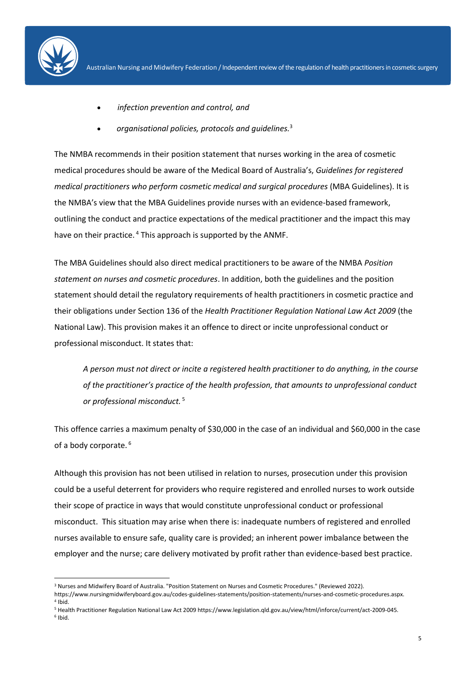

 $\overline{a}$ 

- *infection prevention and control, and*
- *organisational policies, protocols and guidelines.* 3

The NMBA recommends in their position statement that nurses working in the area of cosmetic medical procedures should be aware of the Medical Board of Australia's, *[Guidelines for registered](https://www.medicalboard.gov.au/Codes-Guidelines-Policies.aspx)  [medical practitioners who perform cosmetic medical and surgical procedures](https://www.medicalboard.gov.au/Codes-Guidelines-Policies.aspx)* (MBA Guidelines). It is the NMBA's view that the MBA Guidelines provide nurses with an evidence-based framework, outlining the conduct and practice expectations of the medical practitioner and the impact this may have on their practice.<sup>4</sup> This approach is supported by the ANMF.

The MBA Guidelines should also direct medical practitioners to be aware of the NMBA *Position statement on nurses and cosmetic procedures*. In addition, both the guidelines and the position statement should detail the regulatory requirements of health practitioners in cosmetic practice and their obligations under Section 136 of the *Health Practitioner Regulation National Law Act 2009* (the National Law). This provision makes it an offence to direct or incite unprofessional conduct or professional misconduct. It states that:

*A person must not direct or incite a registered health practitioner to do anything, in the course of the practitioner's practice of the health profession, that amounts to unprofessional conduct or professional misconduct.* <sup>5</sup>

This offence carries a maximum penalty of \$30,000 in the case of an individual and \$60,000 in the case of a body corporate.<sup>6</sup>

Although this provision has not been utilised in relation to nurses, prosecution under this provision could be a useful deterrent for providers who require registered and enrolled nurses to work outside their scope of practice in ways that would constitute unprofessional conduct or professional misconduct. This situation may arise when there is: inadequate numbers of registered and enrolled nurses available to ensure safe, quality care is provided; an inherent power imbalance between the employer and the nurse; care delivery motivated by profit rather than evidence-based best practice.

<sup>3</sup> Nurses and Midwifery Board of Australia. "Position Statement on Nurses and Cosmetic Procedures." (Reviewed 2022).

https://www.nursingmidwiferyboard.gov.au/codes-guidelines-statements/position-statements/nurses-and-cosmetic-procedures.aspx. 4 Ibid.

<sup>5</sup> Health Practitioner Regulation National Law Act 2009 https://www.legislation.qld.gov.au/view/html/inforce/current/act-2009-045. 6 Ibid.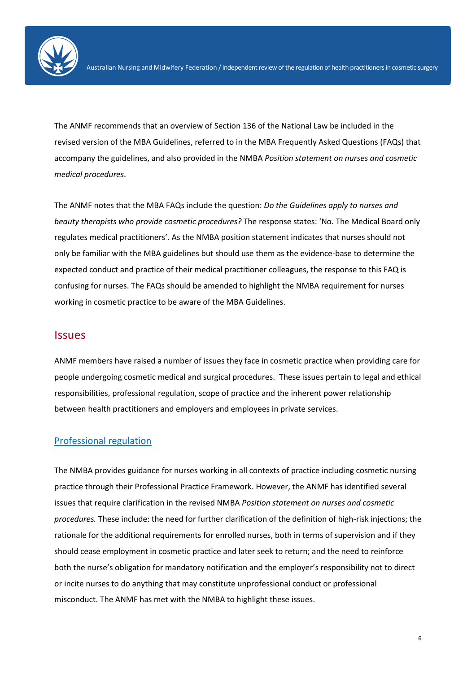

The ANMF recommends that an overview of Section 136 of the National Law be included in the revised version of the MBA Guidelines, referred to in the MBA Frequently Asked Questions (FAQs) that accompany the guidelines, and also provided in the NMBA *Position statement on nurses and cosmetic medical procedures*.

The ANMF notes that the MBA FAQs include the question: *Do the Guidelines apply to nurses and beauty therapists who provide cosmetic procedures?* The response states: 'No. The Medical Board only regulates medical practitioners'. As the NMBA position statement indicates that nurses should not only be familiar with the MBA guidelines but should use them as the evidence-base to determine the expected conduct and practice of their medical practitioner colleagues, the response to this FAQ is confusing for nurses. The FAQs should be amended to highlight the NMBA requirement for nurses working in cosmetic practice to be aware of the MBA Guidelines.

#### **Issues**

ANMF members have raised a number of issues they face in cosmetic practice when providing care for people undergoing cosmetic medical and surgical procedures. These issues pertain to legal and ethical responsibilities, professional regulation, scope of practice and the inherent power relationship between health practitioners and employers and employees in private services.

## Professional regulation

The NMBA provides guidance for nurses working in all contexts of practice including cosmetic nursing practice through their Professional Practice Framework. However, the ANMF has identified several issues that require clarification in the revised NMBA *Position statement on nurses and cosmetic procedures.* These include: the need for further clarification of the definition of high-risk injections; the rationale for the additional requirements for enrolled nurses, both in terms of supervision and if they should cease employment in cosmetic practice and later seek to return; and the need to reinforce both the nurse's obligation for mandatory notification and the employer's responsibility not to direct or incite nurses to do anything that may constitute unprofessional conduct or professional misconduct. The ANMF has met with the NMBA to highlight these issues.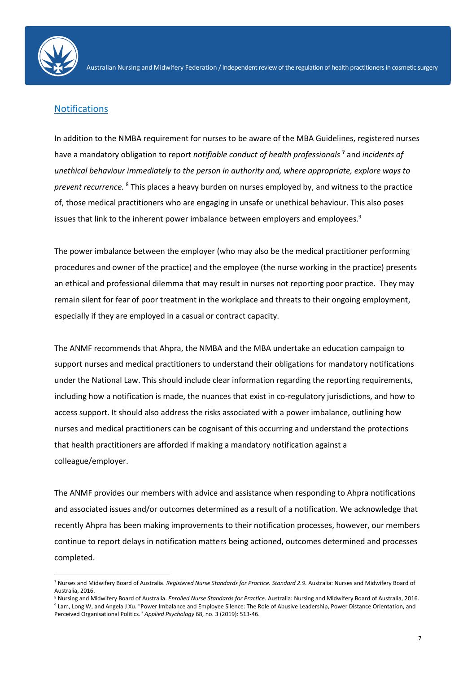

1

## **Notifications**

In addition to the NMBA requirement for nurses to be aware of the MBA Guidelines, registered nurses have a mandatory obligation to report *notifiable conduct of health professionals* **<sup>7</sup>** and *incidents of unethical behaviour immediately to the person in authority and, where appropriate, explore ways to prevent recurrence.* <sup>8</sup> This places a heavy burden on nurses employed by, and witness to the practice of, those medical practitioners who are engaging in unsafe or unethical behaviour. This also poses issues that link to the inherent power imbalance between employers and employees. 9

The power imbalance between the employer (who may also be the medical practitioner performing procedures and owner of the practice) and the employee (the nurse working in the practice) presents an ethical and professional dilemma that may result in nurses not reporting poor practice. They may remain silent for fear of poor treatment in the workplace and threats to their ongoing employment, especially if they are employed in a casual or contract capacity.

The ANMF recommends that Ahpra, the NMBA and the MBA undertake an education campaign to support nurses and medical practitioners to understand their obligations for mandatory notifications under the National Law. This should include clear information regarding the reporting requirements, including how a notification is made, the nuances that exist in co-regulatory jurisdictions, and how to access support. It should also address the risks associated with a power imbalance, outlining how nurses and medical practitioners can be cognisant of this occurring and understand the protections that health practitioners are afforded if making a mandatory notification against a colleague/employer.

The ANMF provides our members with advice and assistance when responding to Ahpra notifications and associated issues and/or outcomes determined as a result of a notification. We acknowledge that recently Ahpra has been making improvements to their notification processes, however, our members continue to report delays in notification matters being actioned, outcomes determined and processes completed.

<sup>&</sup>lt;sup>7</sup> Nurses and Midwifery Board of Australia. Registered Nurse Standards for Practice. Standard 2.9. Australia: Nurses and Midwifery Board of Australia, 2016.

<sup>8</sup> Nursing and Midwifery Board of Australia. *Enrolled Nurse Standards for Practice.* Australia: Nursing and Midwifery Board of Australia, 2016. 9 Lam, Long W, and Angela J Xu. "Power Imbalance and Employee Silence: The Role of Abusive Leadership, Power Distance Orientation, and

Perceived Organisational Politics." *Applied Psychology* 68, no. 3 (2019): 513-46.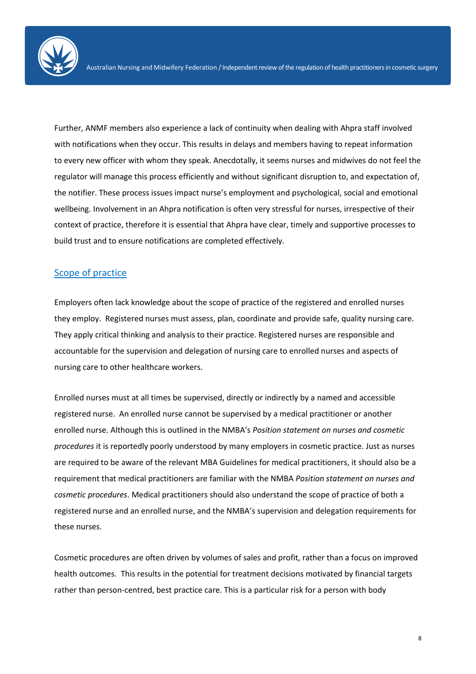

Further, ANMF members also experience a lack of continuity when dealing with Ahpra staff involved with notifications when they occur. This results in delays and members having to repeat information to every new officer with whom they speak. Anecdotally, it seems nurses and midwives do not feel the regulator will manage this process efficiently and without significant disruption to, and expectation of, the notifier. These process issues impact nurse's employment and psychological, social and emotional wellbeing. Involvement in an Ahpra notification is often very stressful for nurses, irrespective of their context of practice, therefore it is essential that Ahpra have clear, timely and supportive processes to build trust and to ensure notifications are completed effectively.

#### Scope of practice

Employers often lack knowledge about the scope of practice of the registered and enrolled nurses they employ. Registered nurses must assess, plan, coordinate and provide safe, quality nursing care. They apply critical thinking and analysis to their practice. Registered nurses are responsible and accountable for the supervision and delegation of nursing care to enrolled nurses and aspects of nursing care to other healthcare workers.

Enrolled nurses must at all times be supervised, directly or indirectly by a named and accessible registered nurse. An enrolled nurse cannot be supervised by a medical practitioner or another enrolled nurse. Although this is outlined in the NMBA's *Position statement on nurses and cosmetic procedures* it is reportedly poorly understood by many employers in cosmetic practice. Just as nurses are required to be aware of the relevant MBA Guidelines for medical practitioners, it should also be a requirement that medical practitioners are familiar with the NMBA *Position statement on nurses and cosmetic procedures*. Medical practitioners should also understand the scope of practice of both a registered nurse and an enrolled nurse, and the NMBA's supervision and delegation requirements for these nurses.

Cosmetic procedures are often driven by volumes of sales and profit, rather than a focus on improved health outcomes. This results in the potential for treatment decisions motivated by financial targets rather than person-centred, best practice care. This is a particular risk for a person with body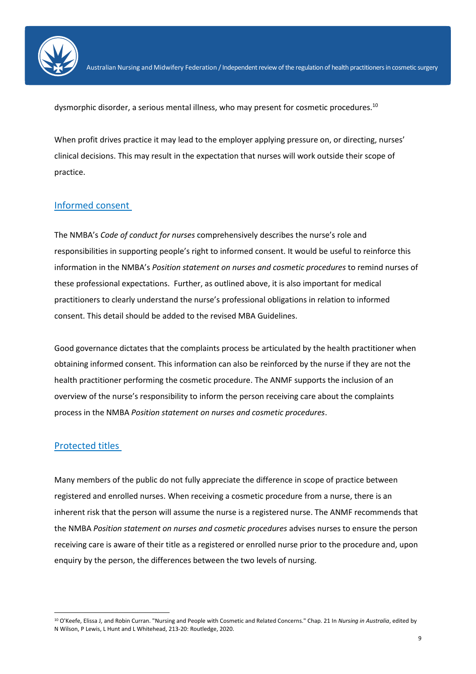

dysmorphic disorder, a serious mental illness, who may present for cosmetic procedures. $^{\rm 10}$ 

When profit drives practice it may lead to the employer applying pressure on, or directing, nurses' clinical decisions. This may result in the expectation that nurses will work outside their scope of practice.

#### Informed consent

The NMBA's *Code of conduct for nurses* comprehensively describes the nurse's role and responsibilities in supporting people's right to informed consent. It would be useful to reinforce this information in the NMBA's *Position statement on nurses and cosmetic procedures* to remind nurses of these professional expectations. Further, as outlined above, it is also important for medical practitioners to clearly understand the nurse's professional obligations in relation to informed consent. This detail should be added to the revised MBA Guidelines.

Good governance dictates that the complaints process be articulated by the health practitioner when obtaining informed consent. This information can also be reinforced by the nurse if they are not the health practitioner performing the cosmetic procedure. The ANMF supports the inclusion of an overview of the nurse's responsibility to inform the person receiving care about the complaints process in the NMBA *Position statement on nurses and cosmetic procedures*.

#### Protected titles

 $\ddot{\phantom{a}}$ 

Many members of the public do not fully appreciate the difference in scope of practice between registered and enrolled nurses. When receiving a cosmetic procedure from a nurse, there is an inherent risk that the person will assume the nurse is a registered nurse. The ANMF recommends that the NMBA *Position statement on nurses and cosmetic procedures* advises nurses to ensure the person receiving care is aware of their title as a registered or enrolled nurse prior to the procedure and, upon enquiry by the person, the differences between the two levels of nursing.

<sup>10</sup> O'Keefe, Elissa J, and Robin Curran. "Nursing and People with Cosmetic and Related Concerns." Chap. 21 In *Nursing in Australia*, edited by N Wilson, P Lewis, L Hunt and L Whitehead, 213-20: Routledge, 2020.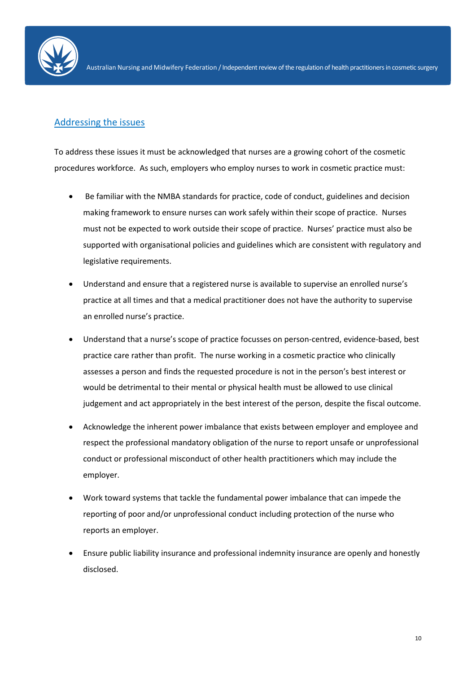

## Addressing the issues

To address these issues it must be acknowledged that nurses are a growing cohort of the cosmetic procedures workforce. As such, employers who employ nurses to work in cosmetic practice must:

- Be familiar with the NMBA standards for practice, code of conduct, guidelines and decision making framework to ensure nurses can work safely within their scope of practice. Nurses must not be expected to work outside their scope of practice. Nurses' practice must also be supported with organisational policies and guidelines which are consistent with regulatory and legislative requirements.
- Understand and ensure that a registered nurse is available to supervise an enrolled nurse's practice at all times and that a medical practitioner does not have the authority to supervise an enrolled nurse's practice.
- Understand that a nurse's scope of practice focusses on person-centred, evidence-based, best practice care rather than profit. The nurse working in a cosmetic practice who clinically assesses a person and finds the requested procedure is not in the person's best interest or would be detrimental to their mental or physical health must be allowed to use clinical judgement and act appropriately in the best interest of the person, despite the fiscal outcome.
- Acknowledge the inherent power imbalance that exists between employer and employee and respect the professional mandatory obligation of the nurse to report unsafe or unprofessional conduct or professional misconduct of other health practitioners which may include the employer.
- Work toward systems that tackle the fundamental power imbalance that can impede the reporting of poor and/or unprofessional conduct including protection of the nurse who reports an employer.
- Ensure public liability insurance and professional indemnity insurance are openly and honestly disclosed.